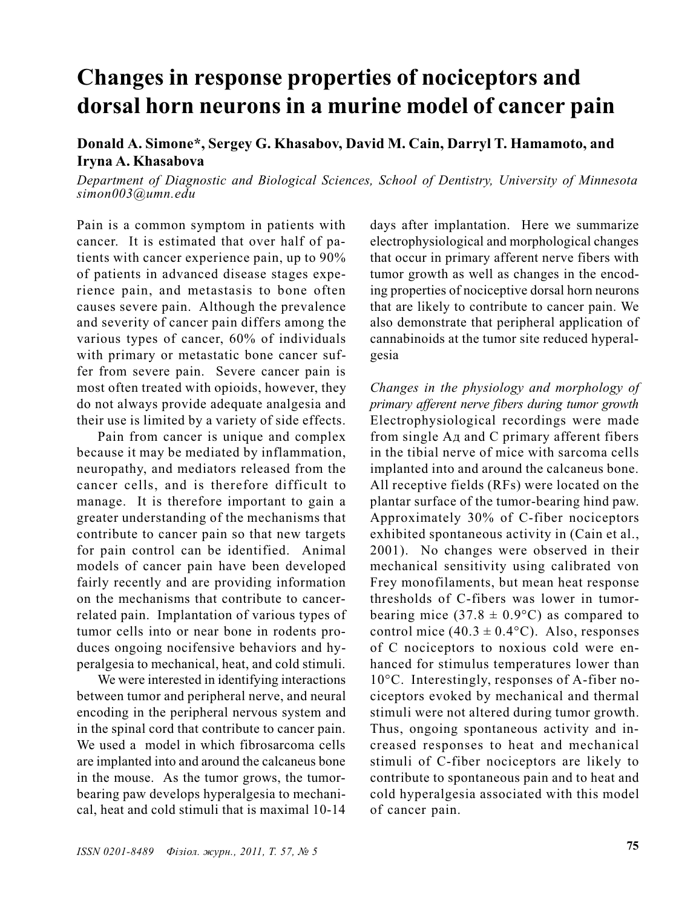## Changes in response properties of nociceptors and dorsal horn neurons in a murine model of cancer pain

## Donald A. Simone\*, Sergey G. Khasabov, David M. Cain, Darryl T. Hamamoto, and Iryna A. Khasabova

Department of Diagnostic and Biological Sciences, School of Dentistry, University of Minnesota simon003@umn.edu

Pain is a common symptom in patients with cancer. It is estimated that over half of patients with cancer experience pain, up to 90% of patients in advanced disease stages experience pain, and metastasis to bone often causes severe pain. Although the prevalence and severity of cancer pain differs among the various types of cancer, 60% of individuals with primary or metastatic bone cancer suffer from severe pain. Severe cancer pain is most often treated with opioids, however, they do not always provide adequate analgesia and their use is limited by a variety of side effects.

Pain from cancer is unique and complex because it may be mediated by inflammation, neuropathy, and mediators released from the cancer cells, and is therefore difficult to manage. It is therefore important to gain a greater understanding of the mechanisms that contribute to cancer pain so that new targets for pain control can be identified. Animal models of cancer pain have been developed fairly recently and are providing information on the mechanisms that contribute to cancerrelated pain. Implantation of various types of tumor cells into or near bone in rodents produces ongoing nocifensive behaviors and hyperalgesia to mechanical, heat, and cold stimuli.

We were interested in identifying interactions between tumor and peripheral nerve, and neural encoding in the peripheral nervous system and in the spinal cord that contribute to cancer pain. We used a model in which fibrosarcoma cells are implanted into and around the calcaneus bone in the mouse. As the tumor grows, the tumorbearing paw develops hyperalgesia to mechanical, heat and cold stimuli that is maximal 10-14 days after implantation. Here we summarize electrophysiological and morphological changes that occur in primary afferent nerve fibers with tumor growth as well as changes in the encoding properties of nociceptive dorsal horn neurons that are likely to contribute to cancer pain. We also demonstrate that peripheral application of cannabinoids at the tumor site reduced hyperalgesia

Changes in the physiology and morphology of primary afferent nerve fibers during tumor growth Electrophysiological recordings were made from single  $A_{\text{I}}$  and C primary afferent fibers in the tibial nerve of mice with sarcoma cells implanted into and around the calcaneus bone. All receptive fields (RFs) were located on the plantar surface of the tumor-bearing hind paw. Approximately 30% of C-fiber nociceptors exhibited spontaneous activity in (Cain et al., 2001). No changes were observed in their mechanical sensitivity using calibrated von Frey monofilaments, but mean heat response thresholds of C-fibers was lower in tumorbearing mice (37.8  $\pm$  0.9°C) as compared to control mice  $(40.3 \pm 0.4$ °C). Also, responses of C nociceptors to noxious cold were enhanced for stimulus temperatures lower than 10°C. Interestingly, responses of A-fiber nociceptors evoked by mechanical and thermal stimuli were not altered during tumor growth. Thus, ongoing spontaneous activity and increased responses to heat and mechanical stimuli of C-fiber nociceptors are likely to contribute to spontaneous pain and to heat and cold hyperalgesia associated with this model of cancer pain.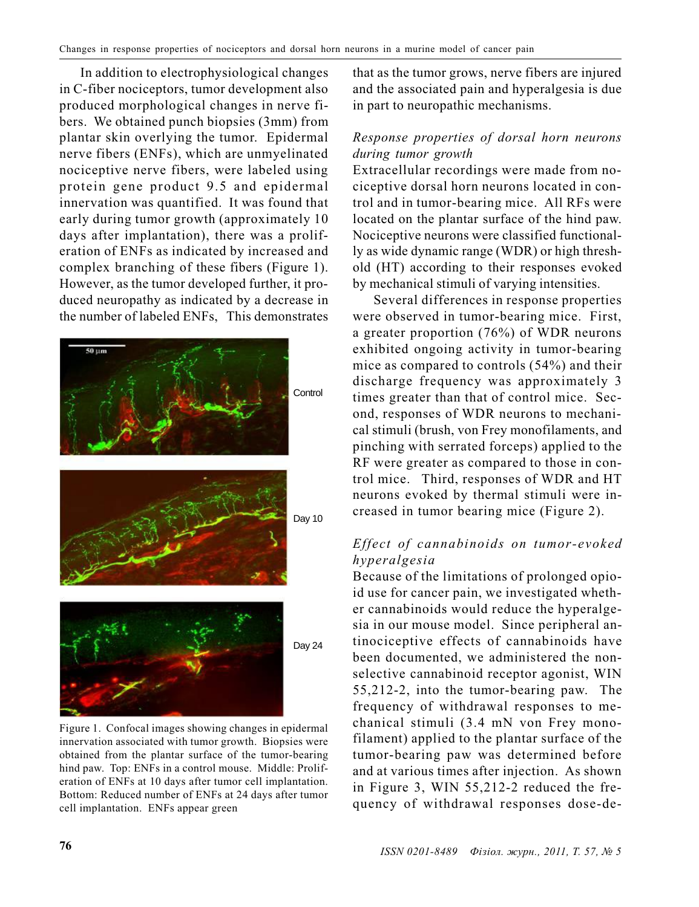In addition to electrophysiological changes in C-fiber nociceptors, tumor development also produced morphological changes in nerve fibers. We obtained punch biopsies (3mm) from plantar skin overlying the tumor. Epidermal nerve fibers (ENFs), which are unmyelinated nociceptive nerve fibers, were labeled using protein gene product 9.5 and epidermal innervation was quantified. It was found that early during tumor growth (approximately 10 days after implantation), there was a proliferation of ENFs as indicated by increased and complex branching of these fibers (Figure 1). However, as the tumor developed further, it produced neuropathy as indicated by a decrease in the number of labeled ENFs, This demonstrates



innervation associated with tumor growth. Biopsies were obtained from the plantar surface of the tumor-bearing hind paw. Top: ENFs in a control mouse. Middle: Proliferation of ENFs at 10 days after tumor cell implantation. Bottom: Reduced number of ENFs at 24 days after tumor cell implantation. ENFs appear green

that as the tumor grows, nerve fibers are injured and the associated pain and hyperalgesia is due in part to neuropathic mechanisms.

## Response properties of dorsal horn neurons during tumor growth

Extracellular recordings were made from nociceptive dorsal horn neurons located in control and in tumor-bearing mice. All RFs were located on the plantar surface of the hind paw. Nociceptive neurons were classified functionally as wide dynamic range (WDR) or high threshold (HT) according to their responses evoked by mechanical stimuli of varying intensities.

Several differences in response properties were observed in tumor-bearing mice. First, a greater proportion (76%) of WDR neurons exhibited ongoing activity in tumor-bearing mice as compared to controls (54%) and their discharge frequency was approximately 3 times greater than that of control mice. Second, responses of WDR neurons to mechanical stimuli (brush, von Frey monofilaments, and pinching with serrated forceps) applied to the RF were greater as compared to those in control mice. Third, responses of WDR and HT neurons evoked by thermal stimuli were increased in tumor bearing mice (Figure 2).

## Effect of cannabinoids on tumor-evoked hyperalgesia

Because of the limitations of prolonged opioid use for cancer pain, we investigated whether cannabinoids would reduce the hyperalgesia in our mouse model. Since peripheral antinociceptive effects of cannabinoids have been documented, we administered the nonselective cannabinoid receptor agonist, WIN 55,212-2, into the tumor-bearing paw. The frequency of withdrawal responses to mechanical stimuli (3.4 mN von Frey monofilament) applied to the plantar surface of the tumor-bearing paw was determined before and at various times after injection. As shown in Figure 3, WIN 55,212-2 reduced the frequency of withdrawal responses dose-de-